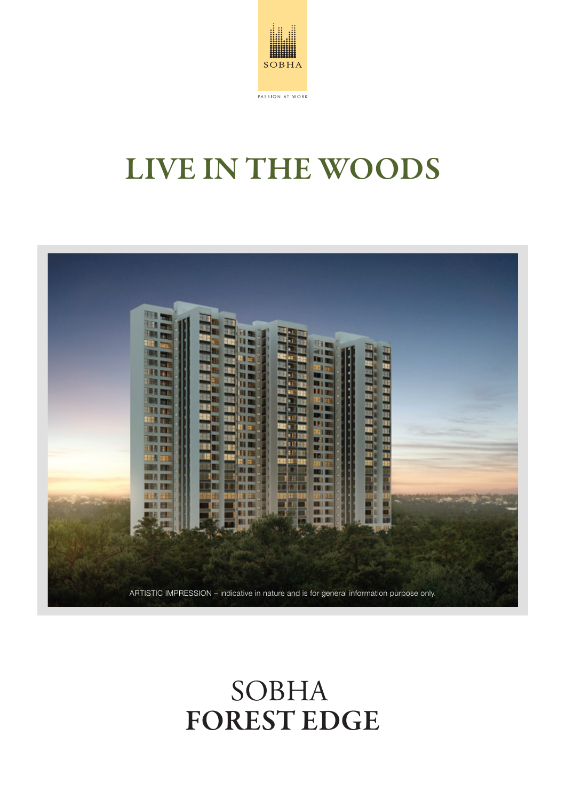

# LIVE IN THE WOODS



## SOBHA FOREST EDGE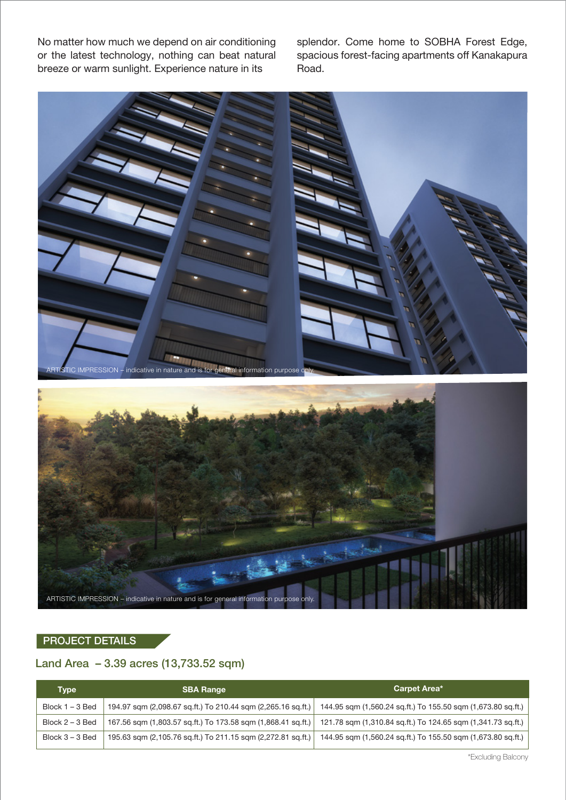No matter how much we depend on air conditioning or the latest technology, nothing can beat natural breeze or warm sunlight. Experience nature in its

splendor. Come home to SOBHA Forest Edge, spacious forest-facing apartments off Kanakapura Road.



#### PROJECT DETAILS

#### Land Area – 3.39 acres (13,733.52 sqm)

| Type              | <b>SBA Range</b>                                             | Carpet Area*                                                                                                              |
|-------------------|--------------------------------------------------------------|---------------------------------------------------------------------------------------------------------------------------|
| Block $1 - 3$ Bed | 194.97 sqm (2,098.67 sq.ft.) To 210.44 sqm (2,265.16 sq.ft.) | 144.95 sqm (1,560.24 sq.ft.) To 155.50 sqm (1,673.80 sq.ft.)                                                              |
| Block $2 - 3$ Bed |                                                              | 167.56 sqm (1,803.57 sq.ft.) To 173.58 sqm (1,868.41 sq.ft.) 121.78 sqm (1,310.84 sq.ft.) To 124.65 sqm (1,341.73 sq.ft.) |
| Block $3 - 3$ Bed | 195.63 sqm (2,105.76 sq.ft.) To 211.15 sqm (2,272.81 sq.ft.) | 144.95 sqm (1,560.24 sq.ft.) To 155.50 sqm (1,673.80 sq.ft.)                                                              |

\*Excluding Balcony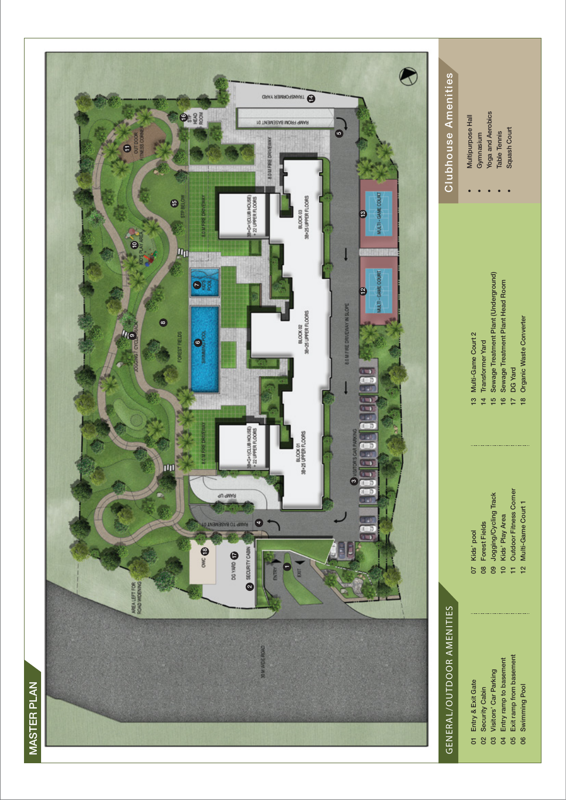

**MASTER PLAN** MASTER PLAN

- 
- 18 Organic Waste Converter